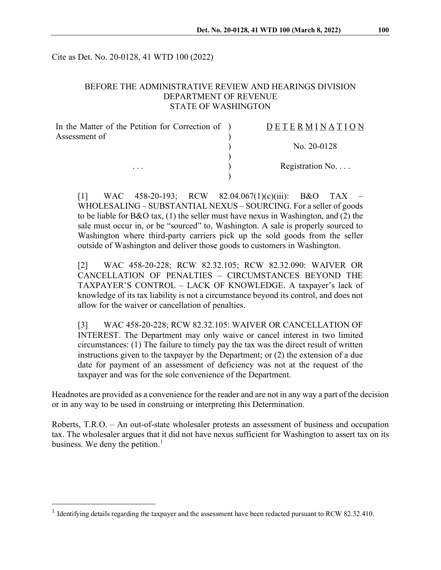Cite as Det. No. 20-0128, 41 WTD 100 (2022)

#### BEFORE THE ADMINISTRATIVE REVIEW AND HEARINGS DIVISION DEPARTMENT OF REVENUE STATE OF WASHINGTON

| In the Matter of the Petition for Correction of ) | DETERMINATION     |
|---------------------------------------------------|-------------------|
| Assessment of                                     | No. $20-0128$     |
|                                                   |                   |
| $\cdots$                                          | Registration $No$ |
|                                                   |                   |

[1] WAC 458-20-193; RCW 82.04.067(1)(c)(iii): B&O TAX – WHOLESALING – SUBSTANTIAL NEXUS – SOURCING. For a seller of goods to be liable for B&O tax,  $(1)$  the seller must have nexus in Washington, and  $(2)$  the sale must occur in, or be "sourced" to, Washington. A sale is properly sourced to Washington where third-party carriers pick up the sold goods from the seller outside of Washington and deliver those goods to customers in Washington.

[2] WAC 458-20-228; RCW 82.32.105; RCW 82.32.090: WAIVER OR CANCELLATION OF PENALTIES – CIRCUMSTANCES BEYOND THE TAXPAYER'S CONTROL – LACK OF KNOWLEDGE. A taxpayer's lack of knowledge of its tax liability is not a circumstance beyond its control, and does not allow for the waiver or cancellation of penalties.

[3] WAC 458-20-228; RCW 82.32.105: WAIVER OR CANCELLATION OF INTEREST. The Department may only waive or cancel interest in two limited circumstances: (1) The failure to timely pay the tax was the direct result of written instructions given to the taxpayer by the Department; or (2) the extension of a due date for payment of an assessment of deficiency was not at the request of the taxpayer and was for the sole convenience of the Department.

Headnotes are provided as a convenience for the reader and are not in any way a part of the decision or in any way to be used in construing or interpreting this Determination.

Roberts, T.R.O. – An out-of-state wholesaler protests an assessment of business and occupation tax. The wholesaler argues that it did not have nexus sufficient for Washington to assert tax on its business. We deny the petition.<sup>[1](#page-0-0)</sup>

<span id="page-0-0"></span><sup>&</sup>lt;sup>1</sup> Identifying details regarding the taxpayer and the assessment have been redacted pursuant to RCW 82.32.410.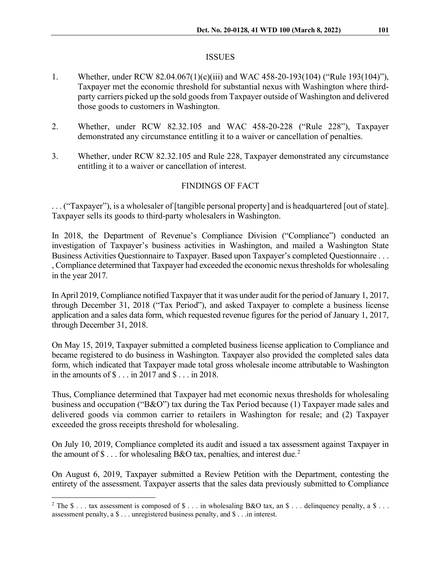#### ISSUES

- 1. Whether, under RCW 82.04.067(1)(c)(iii) and WAC 458-20-193(104) ("Rule 193(104)"), Taxpayer met the economic threshold for substantial nexus with Washington where thirdparty carriers picked up the sold goods from Taxpayer outside of Washington and delivered those goods to customers in Washington.
- 2. Whether, under RCW 82.32.105 and WAC 458-20-228 ("Rule 228"), Taxpayer demonstrated any circumstance entitling it to a waiver or cancellation of penalties.
- 3. Whether, under RCW 82.32.105 and Rule 228, Taxpayer demonstrated any circumstance entitling it to a waiver or cancellation of interest.

# FINDINGS OF FACT

. . . ("Taxpayer"), is a wholesaler of [tangible personal property] and is headquartered [out of state]. Taxpayer sells its goods to third-party wholesalers in Washington.

In 2018, the Department of Revenue's Compliance Division ("Compliance") conducted an investigation of Taxpayer's business activities in Washington, and mailed a Washington State Business Activities Questionnaire to Taxpayer. Based upon Taxpayer's completed Questionnaire . . . , Compliance determined that Taxpayer had exceeded the economic nexus thresholds for wholesaling in the year 2017.

In April 2019, Compliance notified Taxpayer that it was under audit for the period of January 1, 2017, through December 31, 2018 ("Tax Period"), and asked Taxpayer to complete a business license application and a sales data form, which requested revenue figures for the period of January 1, 2017, through December 31, 2018.

On May 15, 2019, Taxpayer submitted a completed business license application to Compliance and became registered to do business in Washington. Taxpayer also provided the completed sales data form, which indicated that Taxpayer made total gross wholesale income attributable to Washington in the amounts of \$ . . . in 2017 and \$ . . . in 2018.

Thus, Compliance determined that Taxpayer had met economic nexus thresholds for wholesaling business and occupation ("B&O") tax during the Tax Period because (1) Taxpayer made sales and delivered goods via common carrier to retailers in Washington for resale; and (2) Taxpayer exceeded the gross receipts threshold for wholesaling.

On July 10, 2019, Compliance completed its audit and issued a tax assessment against Taxpayer in the amount of  $\$\dots$  for wholesaling B&O tax, penalties, and interest due.<sup>[2](#page-1-0)</sup>

On August 6, 2019, Taxpayer submitted a Review Petition with the Department, contesting the entirety of the assessment. Taxpayer asserts that the sales data previously submitted to Compliance

<span id="page-1-0"></span><sup>&</sup>lt;sup>2</sup> The \$ . . . tax assessment is composed of \$ . . . in wholesaling B&O tax, an \$ . . . delinquency penalty, a \$ . . . assessment penalty, a \$ . . . unregistered business penalty, and \$ . . .in interest.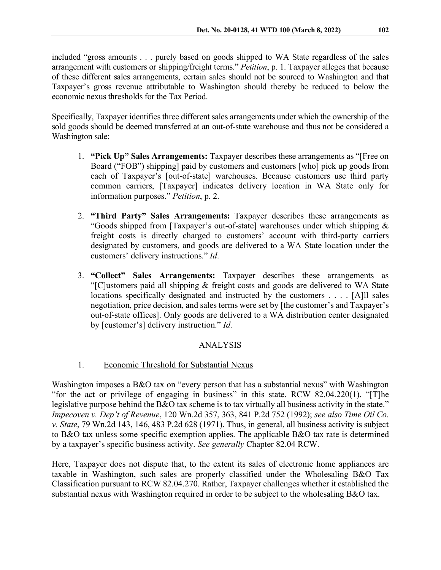included "gross amounts . . . purely based on goods shipped to WA State regardless of the sales arrangement with customers or shipping/freight terms." *Petition*, p. 1. Taxpayer alleges that because of these different sales arrangements, certain sales should not be sourced to Washington and that Taxpayer's gross revenue attributable to Washington should thereby be reduced to below the economic nexus thresholds for the Tax Period.

Specifically, Taxpayer identifies three different sales arrangements under which the ownership of the sold goods should be deemed transferred at an out-of-state warehouse and thus not be considered a Washington sale:

- 1. **"Pick Up" Sales Arrangements:** Taxpayer describes these arrangements as "[Free on Board ("FOB") shipping] paid by customers and customers [who] pick up goods from each of Taxpayer's [out-of-state] warehouses. Because customers use third party common carriers, [Taxpayer] indicates delivery location in WA State only for information purposes." *Petition*, p. 2.
- 2. **"Third Party" Sales Arrangements:** Taxpayer describes these arrangements as "Goods shipped from [Taxpayer's out-of-state] warehouses under which shipping & freight costs is directly charged to customers' account with third-party carriers designated by customers, and goods are delivered to a WA State location under the customers' delivery instructions." *Id*.
- 3. **"Collect" Sales Arrangements:** Taxpayer describes these arrangements as "[C]ustomers paid all shipping & freight costs and goods are delivered to WA State locations specifically designated and instructed by the customers . . . . [A]ll sales negotiation, price decision, and sales terms were set by [the customer's and Taxpayer's out-of-state offices]. Only goods are delivered to a WA distribution center designated by [customer's] delivery instruction." *Id*.

# ANALYSIS

## 1. Economic Threshold for Substantial Nexus

Washington imposes a B&O tax on "every person that has a substantial nexus" with Washington "for the act or privilege of engaging in business" in this state. RCW 82.04.220(1). "[T]he legislative purpose behind the B&O tax scheme is to tax virtually all business activity in the state." *Impecoven v. Dep't of Revenue*, 120 Wn.2d 357, 363, 841 P.2d 752 (1992); *see also Time Oil Co. v. State*, 79 Wn.2d 143, 146, 483 P.2d 628 (1971). Thus, in general, all business activity is subject to B&O tax unless some specific exemption applies. The applicable B&O tax rate is determined by a taxpayer's specific business activity. *See generally* Chapter 82.04 RCW.

Here, Taxpayer does not dispute that, to the extent its sales of electronic home appliances are taxable in Washington, such sales are properly classified under the Wholesaling B&O Tax Classification pursuant to RCW 82.04.270. Rather, Taxpayer challenges whether it established the substantial nexus with Washington required in order to be subject to the wholesaling B&O tax.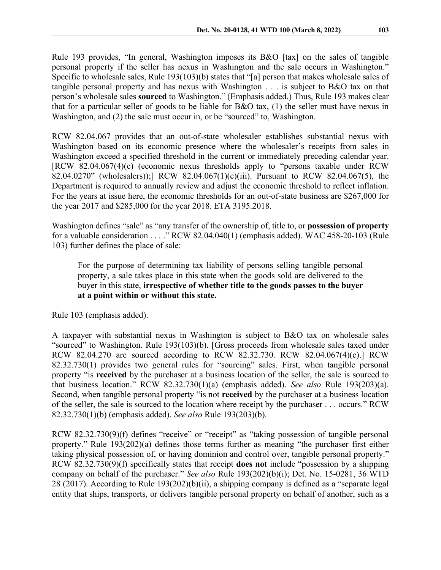Rule 193 provides, "In general, Washington imposes its B&O [tax] on the sales of tangible personal property if the seller has nexus in Washington and the sale occurs in Washington." Specific to wholesale sales, Rule 193(103)(b) states that "[a] person that makes wholesale sales of tangible personal property and has nexus with Washington . . . is subject to B&O tax on that person's wholesale sales **sourced** to Washington." (Emphasis added.) Thus, Rule 193 makes clear that for a particular seller of goods to be liable for B&O tax, (1) the seller must have nexus in Washington, and (2) the sale must occur in, or be "sourced" to, Washington.

RCW 82.04.067 provides that an out-of-state wholesaler establishes substantial nexus with Washington based on its economic presence where the wholesaler's receipts from sales in Washington exceed a specified threshold in the current or immediately preceding calendar year. [RCW 82.04.067(4)(c) (economic nexus thresholds apply to "persons taxable under RCW 82.04.0270" (wholesalers));] RCW 82.04.067(1)(c)(iii). Pursuant to RCW 82.04.067(5), the Department is required to annually review and adjust the economic threshold to reflect inflation. For the years at issue here, the economic thresholds for an out-of-state business are \$267,000 for the year 2017 and \$285,000 for the year 2018. ETA 3195.2018.

Washington defines "sale" as "any transfer of the ownership of, title to, or **possession of property** for a valuable consideration . . . ." RCW 82.04.040(1) (emphasis added). WAC 458-20-103 (Rule 103) further defines the place of sale:

For the purpose of determining tax liability of persons selling tangible personal property, a sale takes place in this state when the goods sold are delivered to the buyer in this state, **irrespective of whether title to the goods passes to the buyer at a point within or without this state.**

Rule 103 (emphasis added).

A taxpayer with substantial nexus in Washington is subject to B&O tax on wholesale sales "sourced" to Washington. Rule 193(103)(b). [Gross proceeds from wholesale sales taxed under RCW 82.04.270 are sourced according to RCW 82.32.730. RCW 82.04.067(4)(c).] RCW 82.32.730(1) provides two general rules for "sourcing" sales. First, when tangible personal property "is **received** by the purchaser at a business location of the seller, the sale is sourced to that business location." RCW 82.32.730(1)(a) (emphasis added). *See also* Rule 193(203)(a). Second, when tangible personal property "is not **received** by the purchaser at a business location of the seller, the sale is sourced to the location where receipt by the purchaser . . . occurs." RCW 82.32.730(1)(b) (emphasis added). *See also* Rule 193(203)(b).

RCW 82.32.730(9)(f) defines "receive" or "receipt" as "taking possession of tangible personal property." Rule 193(202)(a) defines those terms further as meaning "the purchaser first either taking physical possession of, or having dominion and control over, tangible personal property." RCW 82.32.730(9)(f) specifically states that receipt **does not** include "possession by a shipping company on behalf of the purchaser." *See also* Rule 193(202)(b)(i); Det. No. 15-0281, 36 WTD 28 (2017). According to Rule 193(202)(b)(ii), a shipping company is defined as a "separate legal entity that ships, transports, or delivers tangible personal property on behalf of another, such as a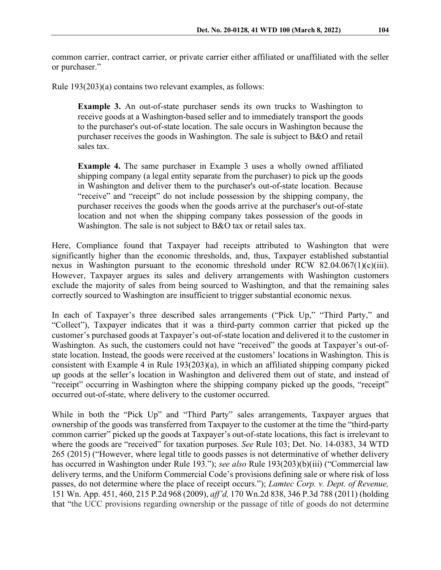common carrier, contract carrier, or private carrier either affiliated or unaffiliated with the seller or purchaser."

Rule 193(203)(a) contains two relevant examples, as follows:

**Example 3.** An out-of-state purchaser sends its own trucks to Washington to receive goods at a Washington-based seller and to immediately transport the goods to the purchaser's out-of-state location. The sale occurs in Washington because the purchaser receives the goods in Washington. The sale is subject to B&O and retail sales tax.

**Example 4.** The same purchaser in Example 3 uses a wholly owned affiliated shipping company (a legal entity separate from the purchaser) to pick up the goods in Washington and deliver them to the purchaser's out-of-state location. Because "receive" and "receipt" do not include possession by the shipping company, the purchaser receives the goods when the goods arrive at the purchaser's out-of-state location and not when the shipping company takes possession of the goods in Washington. The sale is not subject to B&O tax or retail sales tax.

Here, Compliance found that Taxpayer had receipts attributed to Washington that were significantly higher than the economic thresholds, and, thus, Taxpayer established substantial nexus in Washington pursuant to the economic threshold under RCW 82.04.067(1)(c)(iii). However, Taxpayer argues its sales and delivery arrangements with Washington customers exclude the majority of sales from being sourced to Washington, and that the remaining sales correctly sourced to Washington are insufficient to trigger substantial economic nexus.

In each of Taxpayer's three described sales arrangements ("Pick Up," "Third Party," and "Collect"), Taxpayer indicates that it was a third-party common carrier that picked up the customer's purchased goods at Taxpayer's out-of-state location and delivered it to the customer in Washington. As such, the customers could not have "received" the goods at Taxpayer's out-ofstate location. Instead, the goods were received at the customers' locations in Washington. This is consistent with Example 4 in Rule 193(203)(a), in which an affiliated shipping company picked up goods at the seller's location in Washington and delivered them out of state, and instead of "receipt" occurring in Washington where the shipping company picked up the goods, "receipt" occurred out-of-state, where delivery to the customer occurred.

While in both the "Pick Up" and "Third Party" sales arrangements, Taxpayer argues that ownership of the goods was transferred from Taxpayer to the customer at the time the "third-party common carrier" picked up the goods at Taxpayer's out-of-state locations, this fact is irrelevant to where the goods are "received" for taxation purposes. *See* Rule 103; Det. No. 14-0383, 34 WTD 265 (2015) ("However, where legal title to goods passes is not determinative of whether delivery has occurred in Washington under Rule 193."); *see also* Rule 193(203)(b)(iii) ("Commercial law delivery terms, and the Uniform Commercial Code's provisions defining sale or where risk of loss passes, do not determine where the place of receipt occurs."); *Lamtec Corp. v. Dept. of Revenue,*  151 Wn. App. 451, 460, 215 P.2d 968 (2009), *aff'd,* 170 Wn.2d 838, 346 P.3d 788 (2011) (holding that "the UCC provisions regarding ownership or the passage of title of goods do not determine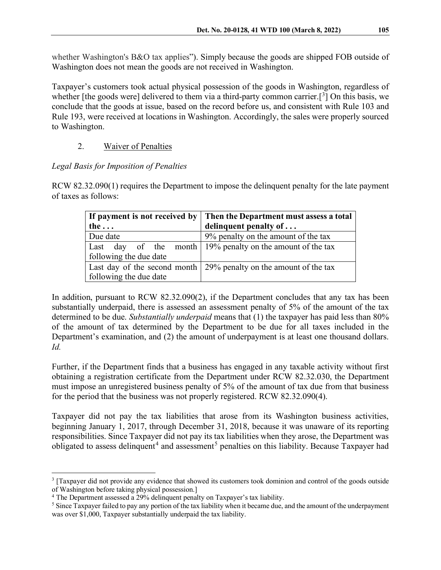whether Washington's B&O tax applies"). Simply because the goods are shipped FOB outside of Washington does not mean the goods are not received in Washington.

Taxpayer's customers took actual physical possession of the goods in Washington, regardless of whether [the goods were] delivered to them via a third-party common carrier.<sup>[[3](#page-5-0)</sup>] On this basis, we conclude that the goods at issue, based on the record before us, and consistent with Rule 103 and Rule 193, were received at locations in Washington. Accordingly, the sales were properly sourced to Washington.

# 2. Waiver of Penalties

### *Legal Basis for Imposition of Penalties*

RCW 82.32.090(1) requires the Department to impose the delinquent penalty for the late payment of taxes as follows:

|                        | If payment is not received by Then the Department must assess a total     |
|------------------------|---------------------------------------------------------------------------|
| the $\ldots$           | delinquent penalty of $\dots$                                             |
| Due date               | 9% penalty on the amount of the tax                                       |
|                        | Last day of the month $\frac{19\%}{2}$ penalty on the amount of the tax   |
| following the due date |                                                                           |
|                        | Last day of the second month $\vert$ 29% penalty on the amount of the tax |
| following the due date |                                                                           |

In addition, pursuant to RCW 82.32.090(2), if the Department concludes that any tax has been substantially underpaid, there is assessed an assessment penalty of 5% of the amount of the tax determined to be due. *Substantially underpaid* means that (1) the taxpayer has paid less than 80% of the amount of tax determined by the Department to be due for all taxes included in the Department's examination, and (2) the amount of underpayment is at least one thousand dollars. *Id.*

Further, if the Department finds that a business has engaged in any taxable activity without first obtaining a registration certificate from the Department under RCW 82.32.030, the Department must impose an unregistered business penalty of 5% of the amount of tax due from that business for the period that the business was not properly registered. RCW 82.32.090(4).

Taxpayer did not pay the tax liabilities that arose from its Washington business activities, beginning January 1, 2017, through December 31, 2018, because it was unaware of its reporting responsibilities. Since Taxpayer did not pay its tax liabilities when they arose, the Department was obligated to assess delinquent<sup>[4](#page-5-1)</sup> and assessment<sup>[5](#page-5-2)</sup> penalties on this liability. Because Taxpayer had

<span id="page-5-0"></span><sup>3</sup> [Taxpayer did not provide any evidence that showed its customers took dominion and control of the goods outside of Washington before taking physical possession.]

<span id="page-5-1"></span><sup>&</sup>lt;sup>4</sup> The Department assessed a 29% delinquent penalty on Taxpayer's tax liability.

<span id="page-5-2"></span><sup>&</sup>lt;sup>5</sup> Since Taxpayer failed to pay any portion of the tax liability when it became due, and the amount of the underpayment was over \$1,000, Taxpayer substantially underpaid the tax liability.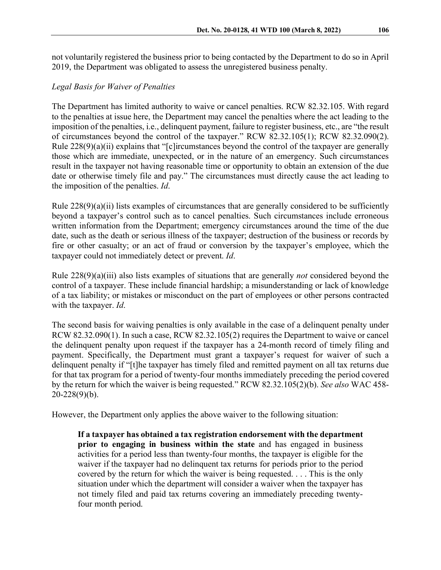not voluntarily registered the business prior to being contacted by the Department to do so in April 2019, the Department was obligated to assess the unregistered business penalty.

## *Legal Basis for Waiver of Penalties*

The Department has limited authority to waive or cancel penalties. RCW 82.32.105. With regard to the penalties at issue here, the Department may cancel the penalties where the act leading to the imposition of the penalties, i.e., delinquent payment, failure to register business, etc., are "the result of circumstances beyond the control of the taxpayer." RCW 82.32.105(1); RCW 82.32.090(2). Rule 228(9)(a)(ii) explains that "[c]ircumstances beyond the control of the taxpayer are generally those which are immediate, unexpected, or in the nature of an emergency. Such circumstances result in the taxpayer not having reasonable time or opportunity to obtain an extension of the due date or otherwise timely file and pay." The circumstances must directly cause the act leading to the imposition of the penalties. *Id*.

Rule  $228(9)(a)(ii)$  lists examples of circumstances that are generally considered to be sufficiently beyond a taxpayer's control such as to cancel penalties. Such circumstances include erroneous written information from the Department; emergency circumstances around the time of the due date, such as the death or serious illness of the taxpayer; destruction of the business or records by fire or other casualty; or an act of fraud or conversion by the taxpayer's employee, which the taxpayer could not immediately detect or prevent. *Id*.

Rule 228(9)(a)(iii) also lists examples of situations that are generally *not* considered beyond the control of a taxpayer. These include financial hardship; a misunderstanding or lack of knowledge of a tax liability; or mistakes or misconduct on the part of employees or other persons contracted with the taxpayer. *Id*.

The second basis for waiving penalties is only available in the case of a delinquent penalty under RCW 82.32.090(1). In such a case, RCW 82.32.105(2) requires the Department to waive or cancel the delinquent penalty upon request if the taxpayer has a 24-month record of timely filing and payment. Specifically, the Department must grant a taxpayer's request for waiver of such a delinquent penalty if "[t]he taxpayer has timely filed and remitted payment on all tax returns due for that tax program for a period of twenty-four months immediately preceding the period covered by the return for which the waiver is being requested." RCW 82.32.105(2)(b). *See also* WAC 458-  $20 - 228(9)(b)$ .

However, the Department only applies the above waiver to the following situation:

**If a taxpayer has obtained a tax registration endorsement with the department prior to engaging in business within the state** and has engaged in business activities for a period less than twenty-four months, the taxpayer is eligible for the waiver if the taxpayer had no delinquent tax returns for periods prior to the period covered by the return for which the waiver is being requested. . . . This is the only situation under which the department will consider a waiver when the taxpayer has not timely filed and paid tax returns covering an immediately preceding twentyfour month period.